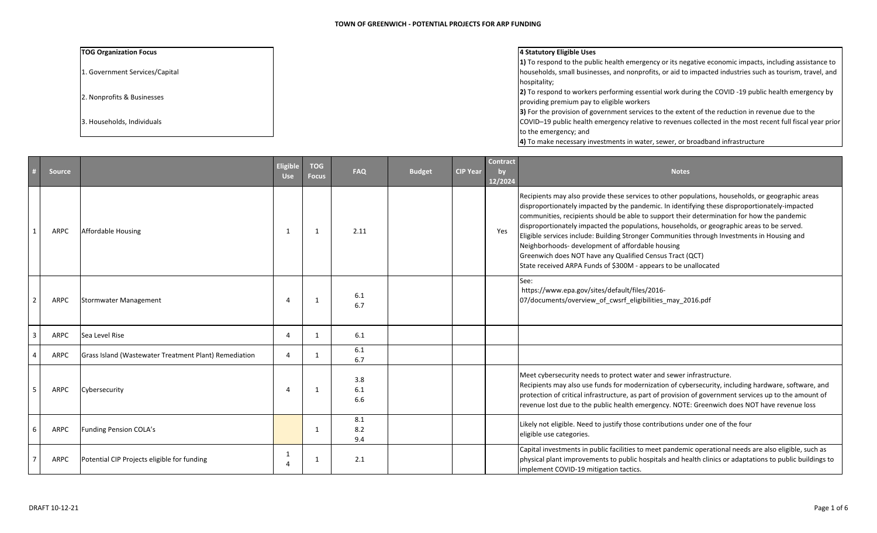## **TOG** Organization Focus

1. Government Services/Capital

2. Nonprofits & Businesses

3. Households, Individuals

## **Organization Focus 4 Statutory Eligible Uses**

**1)** To respond to the public health emergency or its negative economic impacts, including assistance to households, small businesses, and nonprofits, or aid to impacted industries such as tourism, travel, and hospitality;

2) To respond to workers performing essential work during the COVID -19 public health emergency by providing premium pay to eligible workers

**3)** For the provision of government services to the extent of the reduction in revenue due to the

COVID–19 public health emergency relative to revenues collected in the most recent full fiscal year prior to the emergency; and

**4)** To make necessary investments in water, sewer, or broadband infrastructure

|   | <b>Source</b> |                                                       | Eligible<br><b>Use</b> | <b>TOG</b><br><b>Focus</b> | <b>FAQ</b>        | <b>Budget</b> | <b>CIP Year</b> | Contract<br>by<br>12/2024 | <b>Notes</b>                                                                                                                                                                                                                                                                                                                                                                                                                                                                                                                                                                                                                                                                    |
|---|---------------|-------------------------------------------------------|------------------------|----------------------------|-------------------|---------------|-----------------|---------------------------|---------------------------------------------------------------------------------------------------------------------------------------------------------------------------------------------------------------------------------------------------------------------------------------------------------------------------------------------------------------------------------------------------------------------------------------------------------------------------------------------------------------------------------------------------------------------------------------------------------------------------------------------------------------------------------|
|   | ARPC          | <b>Affordable Housing</b>                             | 1                      |                            | 2.11              |               |                 | Yes                       | Recipients may also provide these services to other populations, households, or geographic areas<br>disproportionately impacted by the pandemic. In identifying these disproportionately-impacted<br>communities, recipients should be able to support their determination for how the pandemic<br>disproportionately impacted the populations, households, or geographic areas to be served.<br>Eligible services include: Building Stronger Communities through Investments in Housing and<br>Neighborhoods- development of affordable housing<br>Greenwich does NOT have any Qualified Census Tract (QCT)<br>State received ARPA Funds of \$300M - appears to be unallocated |
|   | ARPC          | <b>Stormwater Management</b>                          | 4                      |                            | 6.1<br>6.7        |               |                 |                           | See:<br>https://www.epa.gov/sites/default/files/2016-<br>07/documents/overview_of_cwsrf_eligibilities_may_2016.pdf                                                                                                                                                                                                                                                                                                                                                                                                                                                                                                                                                              |
|   | ARPC          | Sea Level Rise                                        | 4                      |                            | 6.1               |               |                 |                           |                                                                                                                                                                                                                                                                                                                                                                                                                                                                                                                                                                                                                                                                                 |
|   | ARPC          | Grass Island (Wastewater Treatment Plant) Remediation | $\Delta$               |                            | 6.1<br>6.7        |               |                 |                           |                                                                                                                                                                                                                                                                                                                                                                                                                                                                                                                                                                                                                                                                                 |
|   | ARPC          | Cybersecurity                                         | $\Delta$               |                            | 3.8<br>6.1<br>6.6 |               |                 |                           | Meet cybersecurity needs to protect water and sewer infrastructure.<br>Recipients may also use funds for modernization of cybersecurity, including hardware, software, and<br>protection of critical infrastructure, as part of provision of government services up to the amount of<br>revenue lost due to the public health emergency. NOTE: Greenwich does NOT have revenue loss                                                                                                                                                                                                                                                                                             |
| 6 | ARPC          | Funding Pension COLA's                                |                        |                            | 8.1<br>8.2<br>9.4 |               |                 |                           | Likely not eligible. Need to justify those contributions under one of the four<br>eligible use categories.                                                                                                                                                                                                                                                                                                                                                                                                                                                                                                                                                                      |
|   | ARPC          | Potential CIP Projects eligible for funding           | 1                      | - 1                        | 2.1               |               |                 |                           | Capital investments in public facilities to meet pandemic operational needs are also eligible, such as<br>physical plant improvements to public hospitals and health clinics or adaptations to public buildings to<br>implement COVID-19 mitigation tactics.                                                                                                                                                                                                                                                                                                                                                                                                                    |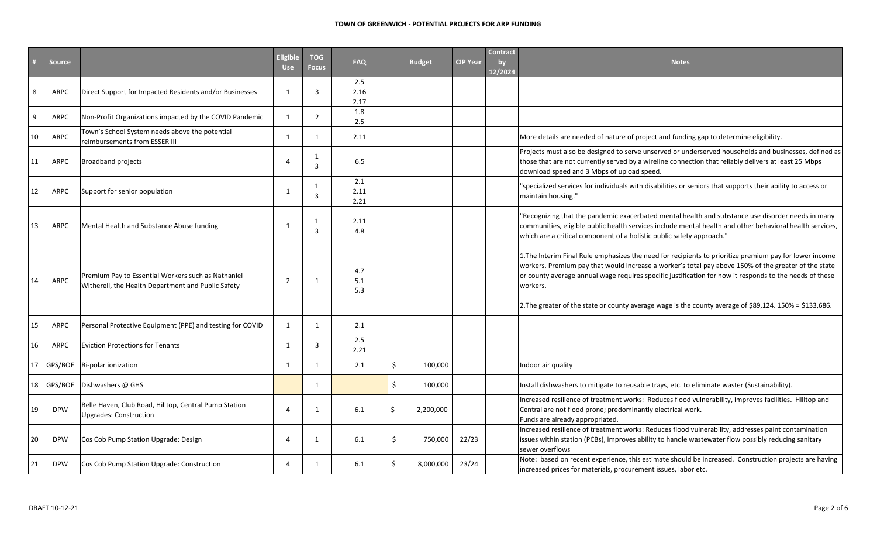## **TOWN OF GREENWICH ‐ POTENTIAL PROJECTS FOR ARP FUNDING**

|                 | <b>Source</b> |                                                                                                          | <b>Eligible</b><br><b>Use</b> | <b>TOG</b><br><b>Focus</b> | <b>FAQ</b>          | <b>Budget</b> |           | <b>CIP Year</b> | <b>Contract</b><br>by<br>12/2024 | <b>Notes</b>                                                                                                                                                                                                                                                                                                                                                                                                                                      |
|-----------------|---------------|----------------------------------------------------------------------------------------------------------|-------------------------------|----------------------------|---------------------|---------------|-----------|-----------------|----------------------------------|---------------------------------------------------------------------------------------------------------------------------------------------------------------------------------------------------------------------------------------------------------------------------------------------------------------------------------------------------------------------------------------------------------------------------------------------------|
| 8               | ARPC          | Direct Support for Impacted Residents and/or Businesses                                                  | $\mathbf{1}$                  | $\overline{3}$             | 2.5<br>2.16<br>2.17 |               |           |                 |                                  |                                                                                                                                                                                                                                                                                                                                                                                                                                                   |
| 9               | ARPC          | Non-Profit Organizations impacted by the COVID Pandemic                                                  | 1                             | 2                          | 1.8<br>2.5          |               |           |                 |                                  |                                                                                                                                                                                                                                                                                                                                                                                                                                                   |
| 10              | ARPC          | Town's School System needs above the potential<br>reimbursements from ESSER III                          | $\mathbf{1}$                  | $\overline{1}$             | 2.11                |               |           |                 |                                  | More details are needed of nature of project and funding gap to determine eligibility.                                                                                                                                                                                                                                                                                                                                                            |
| 11 <sub>1</sub> | ARPC          | <b>Broadband projects</b>                                                                                | $\overline{4}$                | 1<br>$\overline{3}$        | 6.5                 |               |           |                 |                                  | Projects must also be designed to serve unserved or underserved households and businesses, defined as<br>those that are not currently served by a wireline connection that reliably delivers at least 25 Mbps<br>download speed and 3 Mbps of upload speed.                                                                                                                                                                                       |
| 2               | ARPC          | Support for senior population                                                                            | $\mathbf{1}$                  | 1<br>$\overline{3}$        | 2.1<br>2.11<br>2.21 |               |           |                 |                                  | "specialized services for individuals with disabilities or seniors that supports their ability to access or<br>maintain housing."                                                                                                                                                                                                                                                                                                                 |
| 13 <sup>1</sup> | ARPC          | Mental Health and Substance Abuse funding                                                                | $\mathbf{1}$                  | 1<br>3                     | 2.11<br>4.8         |               |           |                 |                                  | "Recognizing that the pandemic exacerbated mental health and substance use disorder needs in many<br>communities, eligible public health services include mental health and other behavioral health services,<br>which are a critical component of a holistic public safety approach."                                                                                                                                                            |
| 14              | <b>ARPC</b>   | Premium Pay to Essential Workers such as Nathaniel<br>Witherell, the Health Department and Public Safety | $\overline{2}$                | -1                         | 4.7<br>5.1<br>5.3   |               |           |                 |                                  | 1. The Interim Final Rule emphasizes the need for recipients to prioritize premium pay for lower income<br>workers. Premium pay that would increase a worker's total pay above 150% of the greater of the state<br>or county average annual wage requires specific justification for how it responds to the needs of these<br>workers.<br>2. The greater of the state or county average wage is the county average of \$89,124. 150% = \$133,686. |
| 15              | ARPC          | Personal Protective Equipment (PPE) and testing for COVID                                                | 1                             | 1                          | 2.1                 |               |           |                 |                                  |                                                                                                                                                                                                                                                                                                                                                                                                                                                   |
| 16              | ARPC          | <b>Eviction Protections for Tenants</b>                                                                  | $\overline{1}$                | 3                          | 2.5<br>2.21         |               |           |                 |                                  |                                                                                                                                                                                                                                                                                                                                                                                                                                                   |
| 17              | GPS/BOE       | Bi-polar ionization                                                                                      | $\mathbf{1}$                  | 1                          | 2.1                 | \$            | 100,000   |                 |                                  | Indoor air quality                                                                                                                                                                                                                                                                                                                                                                                                                                |
| 18              | GPS/BOE       | Dishwashers @ GHS                                                                                        |                               | 1                          |                     | Ś.            | 100,000   |                 |                                  | Install dishwashers to mitigate to reusable trays, etc. to eliminate waster (Sustainability).                                                                                                                                                                                                                                                                                                                                                     |
| 19              | <b>DPW</b>    | Belle Haven, Club Road, Hilltop, Central Pump Station<br><b>Upgrades: Construction</b>                   | $\Delta$                      | 1                          | 6.1                 |               | 2,200,000 |                 |                                  | Increased resilience of treatment works: Reduces flood vulnerability, improves facilities. Hilltop and<br>Central are not flood prone; predominantly electrical work.<br>Funds are already appropriated.                                                                                                                                                                                                                                          |
| 20              | <b>DPW</b>    | Cos Cob Pump Station Upgrade: Design                                                                     | 4                             | 1                          | 6.1                 |               | 750,000   | 22/23           |                                  | Increased resilience of treatment works: Reduces flood vulnerability, addresses paint contamination<br>issues within station (PCBs), improves ability to handle wastewater flow possibly reducing sanitary<br>sewer overflows                                                                                                                                                                                                                     |
| 21              | <b>DPW</b>    | Cos Cob Pump Station Upgrade: Construction                                                               | $\Delta$                      | 1                          | 6.1                 |               | 8,000,000 | 23/24           |                                  | Note: based on recent experience, this estimate should be increased. Construction projects are having<br>increased prices for materials, procurement issues, labor etc.                                                                                                                                                                                                                                                                           |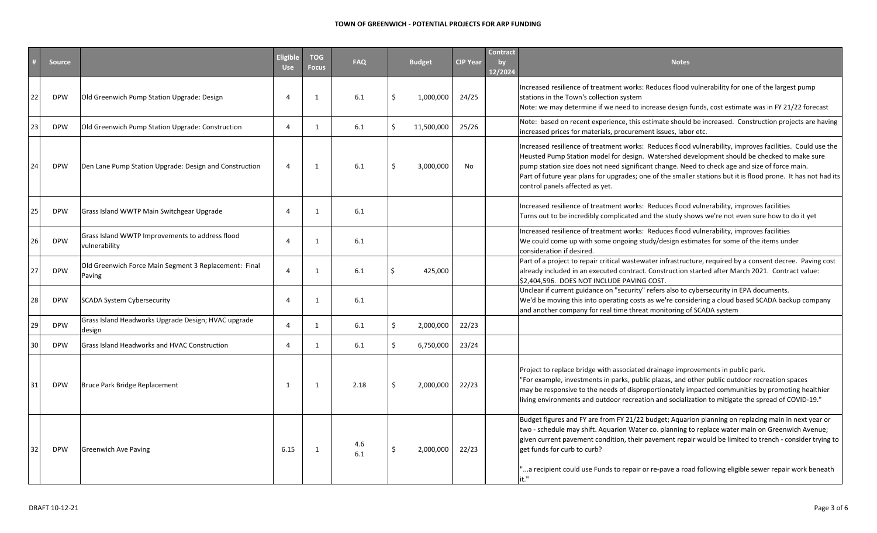## **TOWN OF GREENWICH ‐ POTENTIAL PROJECTS FOR ARP FUNDING**

|    | <b>Source</b> |                                                                  | <b>Eligible</b><br><b>Use</b> | <b>TOG</b><br><b>Focus</b> | <b>FAQ</b> |               | <b>Budget</b> | <b>CIP Year</b> | <b>Contract</b><br>by<br>12/2024 | <b>Notes</b>                                                                                                                                                                                                                                                                                                                                                                                                                                                        |
|----|---------------|------------------------------------------------------------------|-------------------------------|----------------------------|------------|---------------|---------------|-----------------|----------------------------------|---------------------------------------------------------------------------------------------------------------------------------------------------------------------------------------------------------------------------------------------------------------------------------------------------------------------------------------------------------------------------------------------------------------------------------------------------------------------|
| 22 | <b>DPW</b>    | Old Greenwich Pump Station Upgrade: Design                       | $\boldsymbol{\varDelta}$      | $\mathbf{1}$               | 6.1        |               | 1,000,000     | 24/25           |                                  | Increased resilience of treatment works: Reduces flood vulnerability for one of the largest pump<br>stations in the Town's collection system<br>Note: we may determine if we need to increase design funds, cost estimate was in FY 21/22 forecast                                                                                                                                                                                                                  |
| 23 | <b>DPW</b>    | Old Greenwich Pump Station Upgrade: Construction                 | $\boldsymbol{\varDelta}$      | 1                          | 6.1        | $\mathcal{S}$ | 11,500,000    | 25/26           |                                  | Note: based on recent experience, this estimate should be increased. Construction projects are having<br>increased prices for materials, procurement issues, labor etc.                                                                                                                                                                                                                                                                                             |
| 24 | <b>DPW</b>    | Den Lane Pump Station Upgrade: Design and Construction           | $\overline{4}$                | $\mathbf{1}$               | 6.1        |               | 3,000,000     | No              |                                  | Increased resilience of treatment works: Reduces flood vulnerability, improves facilities. Could use the<br>Heusted Pump Station model for design. Watershed development should be checked to make sure<br>pump station size does not need significant change. Need to check age and size of force main.<br>Part of future year plans for upgrades; one of the smaller stations but it is flood prone. It has not had its<br>control panels affected as yet.        |
| 25 | <b>DPW</b>    | Grass Island WWTP Main Switchgear Upgrade                        | $\Delta$                      | $\mathbf{1}$               | 6.1        |               |               |                 |                                  | Increased resilience of treatment works: Reduces flood vulnerability, improves facilities<br>Turns out to be incredibly complicated and the study shows we're not even sure how to do it yet                                                                                                                                                                                                                                                                        |
| 26 | <b>DPW</b>    | Grass Island WWTP Improvements to address flood<br>vulnerability |                               | $\mathbf{1}$               | 6.1        |               |               |                 |                                  | Increased resilience of treatment works: Reduces flood vulnerability, improves facilities<br>We could come up with some ongoing study/design estimates for some of the items under<br>consideration if desired.                                                                                                                                                                                                                                                     |
| 27 | <b>DPW</b>    | Old Greenwich Force Main Segment 3 Replacement: Final<br>Paving  | $\Lambda$                     | $\mathbf{1}$               | 6.1        |               | 425,000       |                 |                                  | Part of a project to repair critical wastewater infrastructure, required by a consent decree. Paving cost<br>already included in an executed contract. Construction started after March 2021. Contract value:<br>\$2,404,596. DOES NOT INCLUDE PAVING COST.                                                                                                                                                                                                         |
| 28 | <b>DPW</b>    | <b>SCADA System Cybersecurity</b>                                | - 4                           | $\mathbf{1}$               | 6.1        |               |               |                 |                                  | Unclear if current guidance on "security" refers also to cybersecurity in EPA documents.<br>We'd be moving this into operating costs as we're considering a cloud based SCADA backup company<br>and another company for real time threat monitoring of SCADA system                                                                                                                                                                                                 |
| 29 | <b>DPW</b>    | Grass Island Headworks Upgrade Design; HVAC upgrade<br>design    | $\boldsymbol{\Delta}$         | $\mathbf{1}$               | 6.1        | $\mathcal{S}$ | 2,000,000     | 22/23           |                                  |                                                                                                                                                                                                                                                                                                                                                                                                                                                                     |
| 30 | <b>DPW</b>    | Grass Island Headworks and HVAC Construction                     | $\boldsymbol{\varDelta}$      | 1                          | 6.1        | $\zeta$       | 6,750,000     | 23/24           |                                  |                                                                                                                                                                                                                                                                                                                                                                                                                                                                     |
| 31 | <b>DPW</b>    | Bruce Park Bridge Replacement                                    | 1                             | $\mathbf{1}$               | 2.18       | ς.            | 2,000,000     | 22/23           |                                  | Project to replace bridge with associated drainage improvements in public park.<br>"For example, investments in parks, public plazas, and other public outdoor recreation spaces<br>may be responsive to the needs of disproportionately impacted communities by promoting healthier<br>living environments and outdoor recreation and socialization to mitigate the spread of COVID-19."                                                                           |
| 32 | <b>DPW</b>    | <b>Greenwich Ave Paving</b>                                      | 6.15                          | $\mathbf{1}$               | 4.6<br>6.1 |               | 2,000,000     | 22/23           |                                  | Budget figures and FY are from FY 21/22 budget; Aquarion planning on replacing main in next year or<br>two - schedule may shift. Aquarion Water co. planning to replace water main on Greenwich Avenue;<br>given current pavement condition, their pavement repair would be limited to trench - consider trying to<br>get funds for curb to curb?<br>a recipient could use Funds to repair or re-pave a road following eligible sewer repair work beneath."<br>it." |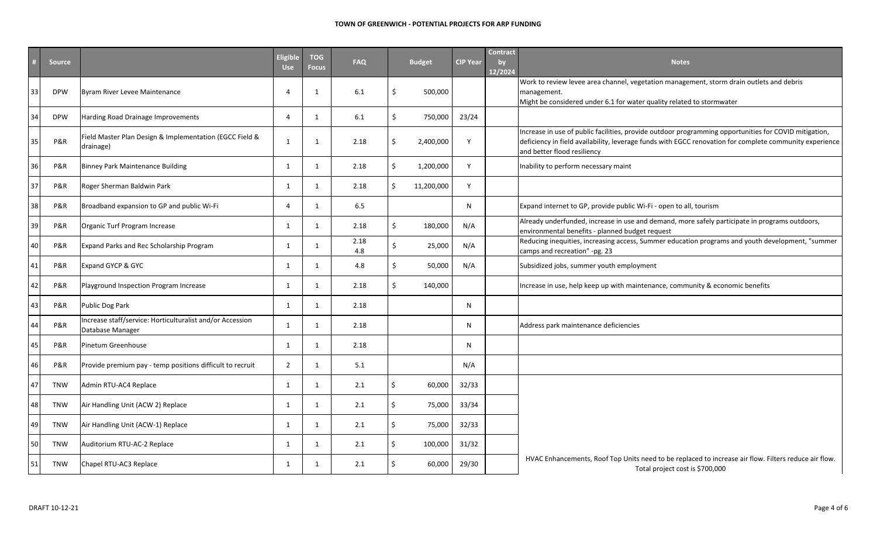|    | <b>Source</b> |                                                                               | <b>Eligible</b><br><b>Use</b> | <b>TOG</b><br><b>Focus</b> | <b>FAQ</b>  | <b>Budget</b>    | <b>CIP Year</b> | <b>Contract</b><br>by<br>12/2024 | <b>Notes</b>                                                                                                                                                                                                                                    |
|----|---------------|-------------------------------------------------------------------------------|-------------------------------|----------------------------|-------------|------------------|-----------------|----------------------------------|-------------------------------------------------------------------------------------------------------------------------------------------------------------------------------------------------------------------------------------------------|
| 33 | <b>DPW</b>    | Byram River Levee Maintenance                                                 | 4                             | 1                          | 6.1         | 500,000<br>Ś.    |                 |                                  | Work to review levee area channel, vegetation management, storm drain outlets and debris<br>management.<br>Might be considered under 6.1 for water quality related to stormwater                                                                |
|    | <b>DPW</b>    | Harding Road Drainage Improvements                                            | $\overline{4}$                | $\mathbf{1}$               | 6.1         | Ś.<br>750,000    | 23/24           |                                  |                                                                                                                                                                                                                                                 |
|    | P&R           | Field Master Plan Design & Implementation (EGCC Field &<br>drainage)          | $\mathbf{1}$                  | $\mathbf{1}$               | 2.18        | 2,400,000<br>Ŝ.  | Y               |                                  | Increase in use of public facilities, provide outdoor programming opportunities for COVID mitigation,<br>deficiency in field availability, leverage funds with EGCC renovation for complete community experience<br>and better flood resiliency |
| 36 | P&R           | <b>Binney Park Maintenance Building</b>                                       | 1                             | 1                          | 2.18        | 1,200,000<br>Ŝ.  | Y               |                                  | Inability to perform necessary maint                                                                                                                                                                                                            |
| 37 | P&R           | Roger Sherman Baldwin Park                                                    | 1                             | 1                          | 2.18        | Ś.<br>11,200,000 | Y               |                                  |                                                                                                                                                                                                                                                 |
| 38 | P&R           | Broadband expansion to GP and public Wi-Fi                                    | 4                             | 1                          | 6.5         |                  | N               |                                  | Expand internet to GP, provide public Wi-Fi - open to all, tourism                                                                                                                                                                              |
| 39 | P&R           | Organic Turf Program Increase                                                 | 1                             | 1                          | 2.18        | Š.<br>180,000    | N/A             |                                  | Already underfunded, increase in use and demand, more safely participate in programs outdoors,<br>environmental benefits - planned budget request                                                                                               |
| 40 | P&R           | Expand Parks and Rec Scholarship Program                                      | 1                             | 1                          | 2.18<br>4.8 | 25,000<br>Ŝ.     | N/A             |                                  | Reducing inequities, increasing access, Summer education programs and youth development, "summer<br>camps and recreation" -pg. 23                                                                                                               |
| 41 | P&R           | Expand GYCP & GYC                                                             | 1                             | 1                          | 4.8         | Ś.<br>50,000     | N/A             |                                  | Subsidized jobs, summer youth employment                                                                                                                                                                                                        |
| 42 | P&R           | Playground Inspection Program Increase                                        | 1                             | 1                          | 2.18        | 140,000<br>Š.    |                 |                                  | Increase in use, help keep up with maintenance, community & economic benefits                                                                                                                                                                   |
| 43 | P&R           | Public Dog Park                                                               | 1                             | 1                          | 2.18        |                  | N               |                                  |                                                                                                                                                                                                                                                 |
| 44 | P&R           | Increase staff/service: Horticulturalist and/or Accession<br>Database Manager | 1                             | 1                          | 2.18        |                  | N               |                                  | Address park maintenance deficiencies                                                                                                                                                                                                           |
| 45 | P&R           | Pinetum Greenhouse                                                            | 1                             | 1                          | 2.18        |                  | N               |                                  |                                                                                                                                                                                                                                                 |
| 46 | P&R           | Provide premium pay - temp positions difficult to recruit                     | $\overline{2}$                | 1                          | 5.1         |                  | N/A             |                                  |                                                                                                                                                                                                                                                 |
| 47 | <b>TNW</b>    | Admin RTU-AC4 Replace                                                         | 1                             | 1                          | 2.1         | .\$<br>60,000    | 32/33           |                                  |                                                                                                                                                                                                                                                 |
| 48 | <b>TNW</b>    | Air Handling Unit (ACW 2) Replace                                             | $\mathbf{1}$                  | 1                          | 2.1         | 75,000<br>\$.    | 33/34           |                                  |                                                                                                                                                                                                                                                 |
| 49 | <b>TNW</b>    | Air Handling Unit (ACW-1) Replace                                             | 1                             | 1                          | 2.1         | Ś<br>75,000      | 32/33           |                                  |                                                                                                                                                                                                                                                 |
| 50 | <b>TNW</b>    | Auditorium RTU-AC-2 Replace                                                   | $\mathbf{1}$                  | 1                          | 2.1         | 100,000          | 31/32           |                                  |                                                                                                                                                                                                                                                 |
|    | <b>TNW</b>    | Chapel RTU-AC3 Replace                                                        | 1                             | 1                          | 2.1         | 60,000           | 29/30           |                                  | HVAC Enhancements, Roof Top Units need to be replaced to increase air flow. Filters reduce air flow.<br>Total project cost is \$700,000                                                                                                         |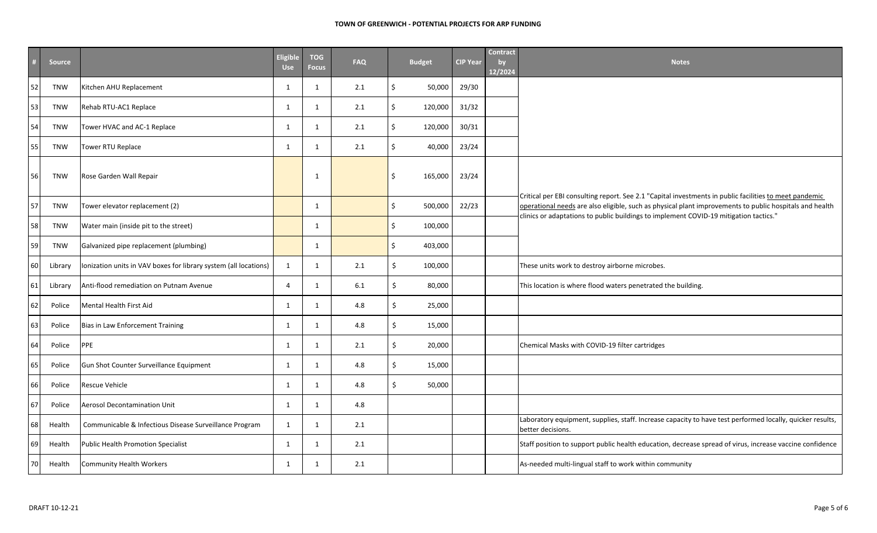|      | <b>Source</b> |                                                                  | Eligible<br><b>Use</b> | <b>TOG</b><br><b>Focus</b> | <b>FAQ</b> | <b>Budget</b> | <b>CIP Year</b> | <b>Contract</b><br>by<br>12/2024 | <b>Notes</b>                                                                                                                                                                                                      |
|------|---------------|------------------------------------------------------------------|------------------------|----------------------------|------------|---------------|-----------------|----------------------------------|-------------------------------------------------------------------------------------------------------------------------------------------------------------------------------------------------------------------|
| 52   | <b>TNW</b>    | Kitchen AHU Replacement                                          | 1                      | 1                          | 2.1        | Ŝ.<br>50,000  | 29/30           |                                  |                                                                                                                                                                                                                   |
| 53   | <b>TNW</b>    | Rehab RTU-AC1 Replace                                            | 1                      | $\mathbf{1}$               | 2.1        | Ś.<br>120,000 | 31/32           |                                  |                                                                                                                                                                                                                   |
| 54   | <b>TNW</b>    | Tower HVAC and AC-1 Replace                                      | 1                      | $\mathbf{1}$               | 2.1        | Ś.<br>120,000 | 30/31           |                                  |                                                                                                                                                                                                                   |
| 55   | <b>TNW</b>    | Tower RTU Replace                                                | 1                      | $\mathbf{1}$               | 2.1        | Ś.<br>40,000  | 23/24           |                                  |                                                                                                                                                                                                                   |
| 56   | <b>TNW</b>    | Rose Garden Wall Repair                                          |                        | $\mathbf{1}$               |            | 165,000       | 23/24           |                                  |                                                                                                                                                                                                                   |
| 57   | <b>TNW</b>    | Tower elevator replacement (2)                                   |                        | $\mathbf{1}$               |            | \$<br>500,000 | 22/23           |                                  | Critical per EBI consulting report. See 2.1 "Capital investments in public facilities to meet pandemic<br>operational needs are also eligible, such as physical plant improvements to public hospitals and health |
| 58   | <b>TNW</b>    | Water main (inside pit to the street)                            |                        | $\mathbf{1}$               |            | Ś.<br>100,000 |                 |                                  | clinics or adaptations to public buildings to implement COVID-19 mitigation tactics."                                                                                                                             |
| 59   | <b>TNW</b>    | Galvanized pipe replacement (plumbing)                           |                        | $\mathbf{1}$               |            | \$<br>403,000 |                 |                                  |                                                                                                                                                                                                                   |
| 60   | Library       | Ionization units in VAV boxes for library system (all locations) | 1                      | $\mathbf{1}$               | 2.1        | \$<br>100,000 |                 |                                  | These units work to destroy airborne microbes.                                                                                                                                                                    |
| 61   | Library       | Anti-flood remediation on Putnam Avenue                          | $\overline{4}$         | 1                          | 6.1        | Ś.<br>80,000  |                 |                                  | This location is where flood waters penetrated the building.                                                                                                                                                      |
| 62   | Police        | <b>Mental Health First Aid</b>                                   | 1                      | 1                          | 4.8        | \$<br>25,000  |                 |                                  |                                                                                                                                                                                                                   |
| 63   | Police        | Bias in Law Enforcement Training                                 | 1                      | 1                          | $4.8\,$    | Ś.<br>15,000  |                 |                                  |                                                                                                                                                                                                                   |
| 64   | Police        | PPE                                                              | 1                      | $\mathbf{1}$               | 2.1        | Ś.<br>20,000  |                 |                                  | Chemical Masks with COVID-19 filter cartridges                                                                                                                                                                    |
| 65   | Police        | Gun Shot Counter Surveillance Equipment                          | 1                      | 1                          | 4.8        | \$<br>15,000  |                 |                                  |                                                                                                                                                                                                                   |
| 66   | Police        | <b>Rescue Vehicle</b>                                            | 1                      | 1                          | $4.8\,$    | Ś.<br>50,000  |                 |                                  |                                                                                                                                                                                                                   |
| 67   | Police        | <b>Aerosol Decontamination Unit</b>                              | 1                      | $\mathbf{1}$               | 4.8        |               |                 |                                  |                                                                                                                                                                                                                   |
| 68   | Health        | Communicable & Infectious Disease Surveillance Program           | $\mathbf{1}$           | $\mathbf{1}$               | 2.1        |               |                 |                                  | Laboratory equipment, supplies, staff. Increase capacity to have test performed locally, quicker results,<br>better decisions.                                                                                    |
| 69   | Health        | <b>Public Health Promotion Specialist</b>                        | $\mathbf{1}$           | $\mathbf{1}$               | 2.1        |               |                 |                                  | Staff position to support public health education, decrease spread of virus, increase vaccine confidence                                                                                                          |
| 70 I | Health        | <b>Community Health Workers</b>                                  | 1                      | 1                          | 2.1        |               |                 |                                  | As-needed multi-lingual staff to work within community                                                                                                                                                            |